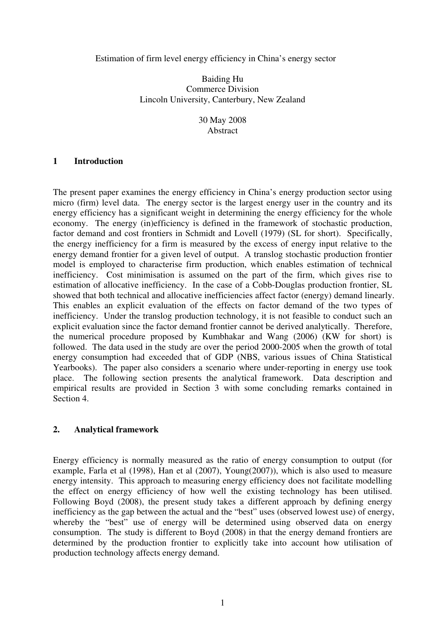#### Estimation of firm level energy efficiency in China's energy sector

# Baiding Hu Commerce Division Lincoln University, Canterbury, New Zealand

# 30 May 2008 Abstract

#### **1 Introduction**

The present paper examines the energy efficiency in China's energy production sector using micro (firm) level data. The energy sector is the largest energy user in the country and its energy efficiency has a significant weight in determining the energy efficiency for the whole economy. The energy (in)efficiency is defined in the framework of stochastic production, factor demand and cost frontiers in Schmidt and Lovell (1979) (SL for short). Specifically, the energy inefficiency for a firm is measured by the excess of energy input relative to the energy demand frontier for a given level of output. A translog stochastic production frontier model is employed to characterise firm production, which enables estimation of technical inefficiency. Cost minimisation is assumed on the part of the firm, which gives rise to estimation of allocative inefficiency. In the case of a Cobb-Douglas production frontier, SL showed that both technical and allocative inefficiencies affect factor (energy) demand linearly. This enables an explicit evaluation of the effects on factor demand of the two types of inefficiency. Under the translog production technology, it is not feasible to conduct such an explicit evaluation since the factor demand frontier cannot be derived analytically. Therefore, the numerical procedure proposed by Kumbhakar and Wang (2006) (KW for short) is followed. The data used in the study are over the period 2000-2005 when the growth of total energy consumption had exceeded that of GDP (NBS, various issues of China Statistical Yearbooks). The paper also considers a scenario where under-reporting in energy use took place. The following section presents the analytical framework. Data description and empirical results are provided in Section 3 with some concluding remarks contained in Section 4.

## **2. Analytical framework**

Energy efficiency is normally measured as the ratio of energy consumption to output (for example, Farla et al (1998), Han et al (2007), Young(2007)), which is also used to measure energy intensity. This approach to measuring energy efficiency does not facilitate modelling the effect on energy efficiency of how well the existing technology has been utilised. Following Boyd (2008), the present study takes a different approach by defining energy inefficiency as the gap between the actual and the "best" uses (observed lowest use) of energy, whereby the "best" use of energy will be determined using observed data on energy consumption. The study is different to Boyd (2008) in that the energy demand frontiers are determined by the production frontier to explicitly take into account how utilisation of production technology affects energy demand.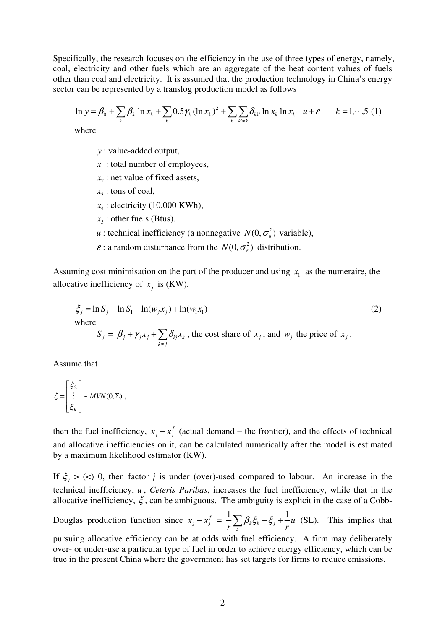Specifically, the research focuses on the efficiency in the use of three types of energy, namely, coal, electricity and other fuels which are an aggregate of the heat content values of fuels other than coal and electricity. It is assumed that the production technology in China's energy sector can be represented by a translog production model as follows

$$
\ln y = \beta_0 + \sum_{k} \beta_k \ln x_k + \sum_{k} 0.5 \gamma_k (\ln x_k)^2 + \sum_{k} \sum_{k' \neq k} \delta_{kk'} \ln x_k \ln x_{k'} - u + \varepsilon \qquad k = 1, \dots, 5 (1)
$$

where

*y* : value-added output,

 $x_1$ : total number of employees,

 $x_2$ : net value of fixed assets,

 $x_3$ : tons of coal,

 $x_4$ : electricity (10,000 KWh),

- $x_5$ : other fuels (Btus).
- *u* : technical inefficiency (a nonnegative  $N(0, \sigma_u^2)$  variable),
- $\varepsilon$ : a random disturbance from the  $N(0, \sigma_{\varepsilon}^2)$  distribution.

Assuming cost minimisation on the part of the producer and using  $x_1$  as the numeraire, the allocative inefficiency of  $x_j$  is (KW),

$$
\xi_j = \ln S_j - \ln S_1 - \ln(w_j x_j) + \ln(w_1 x_1)
$$
\nwhere\n
$$
S_j = \beta_j + \gamma_j x_j + \sum_{k \neq j} \delta_{kj} x_k
$$
, the cost share of  $x_j$ , and  $w_j$  the price of  $x_j$ . (2)

Assume that

$$
\xi = \begin{bmatrix} \xi_2 \\ \vdots \\ \xi_K \end{bmatrix} \sim MVN(0,\Sigma) ,
$$

then the fuel inefficiency,  $x_j - x_j^f$  (actual demand – the frontier), and the effects of technical and allocative inefficiencies on it, can be calculated numerically after the model is estimated by a maximum likelihood estimator (KW).

If  $\xi_j$  > (<) 0, then factor *j* is under (over)-used compared to labour. An increase in the technical inefficiency, *u* , *Ceteris Paribas*, increases the fuel inefficiency, while that in the allocative inefficiency,  $\xi$ , can be ambiguous. The ambiguity is explicit in the case of a Cobb-

Douglas production function since  $x_j - x_j^f = \frac{1}{n} \sum_j \beta_k \xi_k - \xi_j + \frac{1}{n} \sum_j \beta_k \xi_k$ *k*  $\zeta_k \xi_k - \xi_j + \frac{1}{u}u$  $r \leftarrow k^{r}$ <sub>*r*</sub> *r r*  $\frac{1}{n} \sum \beta_k \xi_k - \xi_i + \frac{1}{n} u$  (SL). This implies that

pursuing allocative efficiency can be at odds with fuel efficiency. A firm may deliberately over- or under-use a particular type of fuel in order to achieve energy efficiency, which can be true in the present China where the government has set targets for firms to reduce emissions.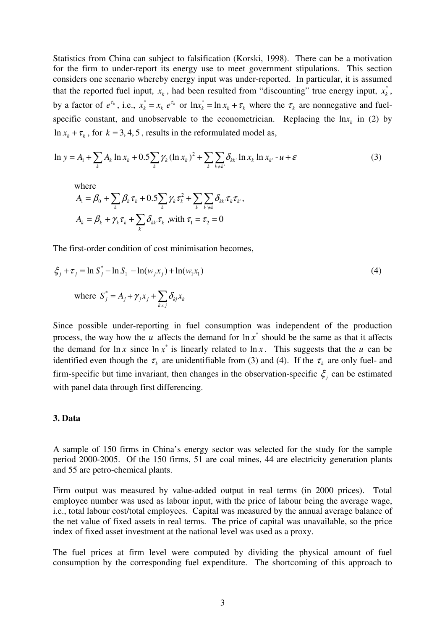Statistics from China can subject to falsification (Korski, 1998). There can be a motivation for the firm to under-report its energy use to meet government stipulations. This section considers one scenario whereby energy input was under-reported. In particular, it is assumed that the reported fuel input,  $x_k$ , had been resulted from "discounting" true energy input,  $x_k^*$ , by a factor of  $e^{\tau_k}$ , i.e.,  $x_k^* = x_k e^{\tau_k}$  or  $\ln x_k^* = \ln x_k + \tau_k$  where the  $\tau_k$  are nonnegative and fuelspecific constant, and unobservable to the econometrician. Replacing the  $\ln x_k$  in (2) by  $\ln x_k + \tau_k$ , for  $k = 3, 4, 5$ , results in the reformulated model as,

$$
\ln y = A_1 + \sum_k A_k \ln x_k + 0.5 \sum_k \gamma_k (\ln x_k)^2 + \sum_k \sum_{k \neq k'} \delta_{kk'} \ln x_k \ln x_{k'} - u + \varepsilon
$$
 (3)

where

$$
A_{\rm I} = \beta_0 + \sum_{k} \beta_k \tau_k + 0.5 \sum_{k} \gamma_k \tau_k^2 + \sum_{k} \sum_{k' \neq k} \delta_{kk'} \tau_k \tau_k,
$$
  

$$
A_{\rm k} = \beta_k + \gamma_k \tau_k + \sum_{k'} \delta_{kk'} \tau_k \text{ with } \tau_{\rm I} = \tau_2 = 0
$$

The first-order condition of cost minimisation becomes,

$$
\xi_j + \tau_j = \ln S_j^* - \ln S_1 - \ln(w_j x_j) + \ln(w_l x_l)
$$
\n(4)

\nwhere 
$$
S_j^* = A_j + \gamma_j x_j + \sum_{k \neq j} \delta_{kj} x_k
$$

Since possible under-reporting in fuel consumption was independent of the production process, the way how the *u* affects the demand for  $\ln x^*$  should be the same as that it affects the demand for  $\ln x$  since  $\ln x^*$  is linearly related to  $\ln x$ . This suggests that the *u* can be identified even though the  $\tau_k$  are unidentifiable from (3) and (4). If the  $\tau_k$  are only fuel- and firm-specific but time invariant, then changes in the observation-specific  $\xi$  can be estimated with panel data through first differencing.

#### **3. Data**

A sample of 150 firms in China's energy sector was selected for the study for the sample period 2000-2005. Of the 150 firms, 51 are coal mines, 44 are electricity generation plants and 55 are petro-chemical plants.

Firm output was measured by value-added output in real terms (in 2000 prices). Total employee number was used as labour input, with the price of labour being the average wage, i.e., total labour cost/total employees. Capital was measured by the annual average balance of the net value of fixed assets in real terms. The price of capital was unavailable, so the price index of fixed asset investment at the national level was used as a proxy.

The fuel prices at firm level were computed by dividing the physical amount of fuel consumption by the corresponding fuel expenditure. The shortcoming of this approach to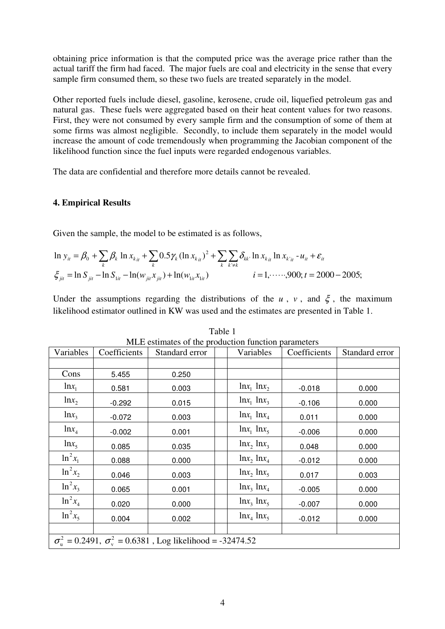obtaining price information is that the computed price was the average price rather than the actual tariff the firm had faced. The major fuels are coal and electricity in the sense that every sample firm consumed them, so these two fuels are treated separately in the model.

Other reported fuels include diesel, gasoline, kerosene, crude oil, liquefied petroleum gas and natural gas. These fuels were aggregated based on their heat content values for two reasons. First, they were not consumed by every sample firm and the consumption of some of them at some firms was almost negligible. Secondly, to include them separately in the model would increase the amount of code tremendously when programming the Jacobian component of the likelihood function since the fuel inputs were regarded endogenous variables.

The data are confidential and therefore more details cannot be revealed.

# **4. Empirical Results**

Given the sample, the model to be estimated is as follows,

$$
\ln y_{it} = \beta_0 + \sum_{k} \beta_k \ln x_{ki} + \sum_{k} 0.5 \gamma_k (\ln x_{ki})^2 + \sum_{k} \sum_{k' \neq k} \delta_{kk'} \ln x_{ki} \ln x_{k'i} - u_{it} + \varepsilon_{it}
$$
  

$$
\xi_{jit} = \ln S_{jit} - \ln S_{lit} - \ln(w_{jit} x_{jit}) + \ln(w_{lit} x_{lit})
$$
  
 $i = 1, \dots, 900; t = 2000 - 2005;$ 

Under the assumptions regarding the distributions of the *u*, *v*, and  $\xi$ , the maximum likelihood estimator outlined in KW was used and the estimates are presented in Table 1.

|                                                                                  | MLE estimates of the production function parameters |                |  |                     |              |                |  |
|----------------------------------------------------------------------------------|-----------------------------------------------------|----------------|--|---------------------|--------------|----------------|--|
| Variables                                                                        | Coefficients                                        | Standard error |  | Variables           | Coefficients | Standard error |  |
|                                                                                  |                                                     |                |  |                     |              |                |  |
| Cons                                                                             | 5.455                                               | 0.250          |  |                     |              |                |  |
| $ln x_1$                                                                         | 0.581                                               | 0.003          |  | $\ln x_1 \ln x_2$   | $-0.018$     | 0.000          |  |
| $ln x_2$                                                                         | $-0.292$                                            | 0.015          |  | $\ln x_1 \ln x_3$   | $-0.106$     | 0.000          |  |
| $ln x_3$                                                                         | $-0.072$                                            | 0.003          |  | $\ln x_1$ $\ln x_4$ | 0.011        | 0.000          |  |
| $lnx_4$                                                                          | $-0.002$                                            | 0.001          |  | $\ln x_1$ $\ln x_5$ | $-0.006$     | 0.000          |  |
| $ln x_5$                                                                         | 0.085                                               | 0.035          |  | $\ln x$ , $\ln x$   | 0.048        | 0.000          |  |
| $\ln^2 x_1$                                                                      | 0.088                                               | 0.000          |  | $\ln x$ , $\ln x_4$ | $-0.012$     | 0.000          |  |
| $\ln^2 x_2$                                                                      | 0.046                                               | 0.003          |  | $\ln x$ , $\ln x$   | 0.017        | 0.003          |  |
| $\ln^2 x_3$                                                                      | 0.065                                               | 0.001          |  | $\ln x_3 \ln x_4$   | $-0.005$     | 0.000          |  |
| $\ln^2 x_4$                                                                      | 0.020                                               | 0.000          |  | $\ln x_3 \ln x_5$   | $-0.007$     | 0.000          |  |
| $\ln^2 x_5$                                                                      | 0.004                                               | 0.002          |  | $\ln x_4$ $\ln x_5$ | $-0.012$     | 0.000          |  |
|                                                                                  |                                                     |                |  |                     |              |                |  |
| $\sigma_{\nu}^2$ = 0.2491, $\sigma_{\nu}^2$ = 0.6381, Log likelihood = -32474.52 |                                                     |                |  |                     |              |                |  |

Table 1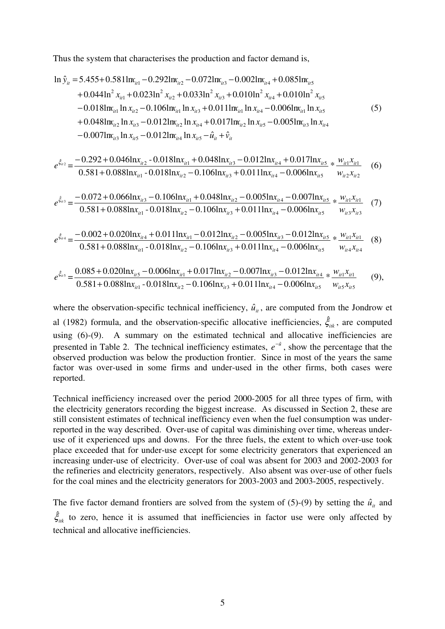Thus the system that characterises the production and factor demand is,

$$
\ln \hat{y}_{it} = 5.455 + 0.5811 \text{m}_{it1} - 0.2921 \text{m}_{it2} - 0.0721 \text{m}_{it3} - 0.0021 \text{m}_{it4} + 0.0851 \text{m}_{it5} \n+ 0.0441 \text{m}^2 x_{it1} + 0.0231 \text{m}^2 x_{it2} + 0.0331 \text{m}^2 x_{it3} + 0.0101 \text{m}^2 x_{it4} + 0.0101 \text{m}^2 x_{it5} \n- 0.0181 \text{m}_{it1} \ln x_{it2} - 0.1061 \text{m}_{it1} \ln x_{it3} + 0.0111 \text{m}_{it1} \ln x_{it4} - 0.0061 \text{m}_{it1} \ln x_{it5} \n+ 0.0481 \text{m}_{it2} \ln x_{it3} - 0.0121 \text{m}_{it2} \ln x_{it4} + 0.0171 \text{m}_{it2} \ln x_{it5} - 0.0051 \text{m}_{it3} \ln x_{it4} \n- 0.0071 \text{m}_{it3} \ln x_{it5} - 0.0121 \text{m}_{it4} \ln x_{it5} - \hat{u}_{it} + \hat{v}_{it}
$$
\n(5)

$$
e^{\xi_{ii2}} = \frac{-0.292 + 0.046 \ln x_{ii2} - 0.018 \ln x_{ii1} + 0.048 \ln x_{ii3} - 0.012 \ln x_{ii4} + 0.017 \ln x_{ii5}}{0.581 + 0.088 \ln x_{ii1} - 0.018 \ln x_{ii2} - 0.106 \ln x_{ii3} + 0.011 \ln x_{ii4} - 0.006 \ln x_{ii5}} \times \frac{w_{ii1} x_{ii1}}{w_{ii2} x_{ii2}}
$$
 (6)

$$
e^{\hat{\xi}_{ii3}} = \frac{-0.072 + 0.066 \ln x_{ii3} - 0.106 \ln x_{ii1} + 0.048 \ln x_{ii2} - 0.005 \ln x_{ii4} - 0.007 \ln x_{ii5}}{0.581 + 0.088 \ln x_{ii1} - 0.018 \ln x_{ii2} - 0.106 \ln x_{ii3} + 0.011 \ln x_{ii4} - 0.006 \ln x_{ii5}} \times \frac{w_{ii1} x_{ii1}}{w_{ii3} x_{ii3}}
$$
(7)

$$
e^{\hat{\xi}_{it4}} = \frac{-0.002 + 0.020 \ln x_{it4} + 0.011 \ln x_{it1} - 0.012 \ln x_{it2} - 0.005 \ln x_{it3} - 0.012 \ln x_{it5}}{0.581 + 0.088 \ln x_{it1} - 0.018 \ln x_{it2} - 0.106 \ln x_{it3} + 0.011 \ln x_{it4} - 0.006 \ln x_{it5}} \times \frac{w_{it1} x_{it1}}{w_{it4} x_{it4}} \tag{8}
$$

$$
e^{\hat{\xi}_{u5}} = \frac{0.085 + 0.020 \ln x_{u5} - 0.006 \ln x_{u1} + 0.017 \ln x_{u2} - 0.007 \ln x_{u3} - 0.012 \ln x_{u4}}{0.581 + 0.088 \ln x_{u1} - 0.018 \ln x_{u2} - 0.106 \ln x_{u3} + 0.011 \ln x_{u4} - 0.006 \ln x_{u5}} \times \frac{w_{u1} x_{u1}}{w_{u5} x_{u5}} \tag{9}
$$

where the observation-specific technical inefficiency,  $\hat{u}_{i}$ , are computed from the Jondrow et al (1982) formula, and the observation-specific allocative inefficiencies,  $\hat{\xi}_{ik}$ , are computed using (6)-(9). A summary on the estimated technical and allocative inefficiencies are presented in Table 2. The technical inefficiency estimates,  $e^{-\hat{u}}$ , show the percentage that the observed production was below the production frontier. Since in most of the years the same factor was over-used in some firms and under-used in the other firms, both cases were reported.

Technical inefficiency increased over the period 2000-2005 for all three types of firm, with the electricity generators recording the biggest increase. As discussed in Section 2, these are still consistent estimates of technical inefficiency even when the fuel consumption was underreported in the way described. Over-use of capital was diminishing over time, whereas underuse of it experienced ups and downs. For the three fuels, the extent to which over-use took place exceeded that for under-use except for some electricity generators that experienced an increasing under-use of electricity. Over-use of coal was absent for 2003 and 2002-2003 for the refineries and electricity generators, respectively. Also absent was over-use of other fuels for the coal mines and the electricity generators for 2003-2003 and 2003-2005, respectively.

The five factor demand frontiers are solved from the system of (5)-(9) by setting the  $\hat{u}_u$  and  $\hat{\xi}_{ik}$  to zero, hence it is assumed that inefficiencies in factor use were only affected by technical and allocative inefficiencies.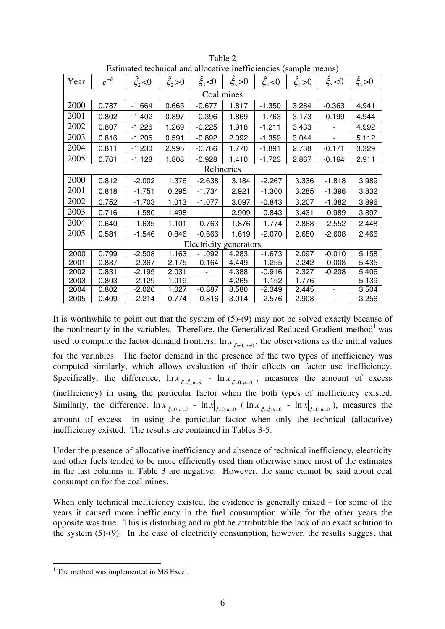|            | Estimated technical and anocative includibilities (sample incans) |               |           |                        |               |            |           |                          |               |  |
|------------|-------------------------------------------------------------------|---------------|-----------|------------------------|---------------|------------|-----------|--------------------------|---------------|--|
| Year       | $e^{-\hat{u}}$                                                    | $\xi_{2}$ < 0 | $\xi, >0$ | $\hat{\xi}_3$ < 0      | $\xi_{3} > 0$ | $\xi_4$ <0 | $\xi_a>0$ | $\xi_{5}$ < 0            | $\xi_{5} > 0$ |  |
| Coal mines |                                                                   |               |           |                        |               |            |           |                          |               |  |
| 2000       | 0.787                                                             | $-1.664$      | 0.665     | $-0.677$               | 1.817         | $-1.350$   | 3.284     | $-0.363$                 | 4.941         |  |
| 2001       | 0.802                                                             | $-1.402$      | 0.897     | $-0.396$               | 1.869         | $-1.763$   | 3.173     | $-0.199$                 | 4.944         |  |
| 2002       | 0.807                                                             | $-1.226$      | 1.269     | $-0.225$               | 1.918         | $-1.211$   | 3.433     |                          | 4.992         |  |
| 2003       | 0.816                                                             | $-1.205$      | 0.591     | $-0.892$               | 2.092         | $-1.359$   | 3.044     |                          | 5.112         |  |
| 2004       | 0.811                                                             | $-1.230$      | 2.995     | $-0.766$               | 1.770         | $-1.891$   | 2.738     | $-0.171$                 | 3.329         |  |
| 2005       | 0.761                                                             | $-1.128$      | 1.808     | $-0.928$               | 1.410         | $-1.723$   | 2.867     | $-0.164$                 | 2.911         |  |
|            | Refineries                                                        |               |           |                        |               |            |           |                          |               |  |
| 2000       | 0.812                                                             | $-2.002$      | 1.376     | $-2.638$               | 3.184         | $-2.267$   | 3.336     | $-1.818$                 | 3.989         |  |
| 2001       | 0.818                                                             | $-1.751$      | 0.295     | $-1.734$               | 2.921         | $-1.300$   | 3.285     | $-1.396$                 | 3.832         |  |
| 2002       | 0.752                                                             | $-1.703$      | 1.013     | $-1.077$               | 3.097         | $-0.843$   | 3.207     | $-1.382$                 | 3.896         |  |
| 2003       | 0.716                                                             | $-1.580$      | 1.498     |                        | 2.909         | $-0.843$   | 3.431     | $-0.989$                 | 3.897         |  |
| 2004       | 0.640                                                             | $-1.635$      | 1.101     | $-0.763$               | 1.876         | $-1.774$   | 2.868     | $-2.552$                 | 2.448         |  |
| 2005       | 0.581                                                             | $-1.546$      | 0.846     | $-0.666$               | 1.619         | $-2.070$   | 2.680     | $-2.608$                 | 2.466         |  |
|            |                                                                   |               |           | Electricity generators |               |            |           |                          |               |  |
| 2000       | 0.799                                                             | $-2.508$      | 1.163     | $-1.092$               | 4.283         | $-1.673$   | 2.097     | $-0.010$                 | 5.158         |  |
| 2001       | 0.837                                                             | $-2.367$      | 2.175     | $-0.164$               | 4.449         | $-1.255$   | 2.242     | $-0.008$                 | 5.435         |  |
| 2002       | 0.831                                                             | -2.195        | 2.031     |                        | 4.388         | $-0.916$   | 2.327     | $-0.208$                 | 5.406         |  |
| 2003       | 0.803                                                             | $-2.129$      | 1.019     |                        | 4.265         | $-1.152$   | 1.776     |                          | 5.139         |  |
| 2004       | 0.802                                                             | $-2.020$      | 1.027     | $-0.887$               | 3.580         | $-2.349$   | 2.445     | $\overline{\phantom{a}}$ | 3.504         |  |
| 2005       | 0.409                                                             | $-2.214$      | 0.774     | $-0.816$               | 3.014         | $-2.576$   | 2.908     | -                        | 3.256         |  |

Table 2 Estimated technical and allocative inefficiencies (sample means)

It is worthwhile to point out that the system of (5)-(9) may not be solved exactly because of the nonlinearity in the variables. Therefore, the Generalized Reduced Gradient method<sup>1</sup> was used to compute the factor demand frontiers,  $\ln x \Big|_{\xi=0, u=0}$ , the observations as the initial values for the variables. The factor demand in the presence of the two types of inefficiency was computed similarly, which allows evaluation of their effects on factor use inefficiency. Specifically, the difference,  $\ln x|_{\xi=\hat{\xi},u=\hat{u}}$  -  $\ln x|_{\xi=0,u=0}$ , measures the amount of excess

(inefficiency) in using the particular factor when the both types of inefficiency existed. Similarly, the difference,  $\ln x|_{\xi=0, u=\hat{u}}$  -  $\ln x|_{\xi=0, u=0}$  ( $\ln x|_{\xi=\hat{\xi}, u=0}$  -  $\ln x|_{\xi=0, u=0}$ ), measures the amount of excess in using the particular factor when only the technical (allocative) inefficiency existed. The results are contained in Tables 3-5.

Under the presence of allocative inefficiency and absence of technical inefficiency, electricity and other fuels tended to be more efficiently used than otherwise since most of the estimates in the last columns in Table 3 are negative. However, the same cannot be said about coal consumption for the coal mines.

When only technical inefficiency existed, the evidence is generally mixed – for some of the years it caused more inefficiency in the fuel consumption while for the other years the opposite was true. This is disturbing and might be attributable the lack of an exact solution to the system (5)-(9). In the case of electricity consumption, however, the results suggest that

<sup>&</sup>lt;sup>1</sup> The method was implemented in MS Excel.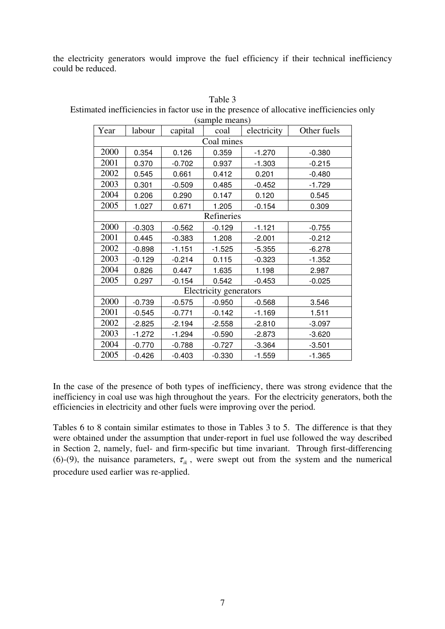the electricity generators would improve the fuel efficiency if their technical inefficiency could be reduced.

| Year | labour   | capital  | $(sanipic$ $incais$<br>coal | electricity | Other fuels |
|------|----------|----------|-----------------------------|-------------|-------------|
|      |          |          | Coal mines                  |             |             |
| 2000 | 0.354    | 0.126    | 0.359                       | $-1.270$    | $-0.380$    |
| 2001 | 0.370    | $-0.702$ | 0.937                       | $-1.303$    | $-0.215$    |
| 2002 | 0.545    | 0.661    | 0.412                       | 0.201       | $-0.480$    |
| 2003 | 0.301    | $-0.509$ | 0.485                       | $-0.452$    | $-1.729$    |
| 2004 | 0.206    | 0.290    | 0.147                       | 0.120       | 0.545       |
| 2005 | 1.027    | 0.671    | 1.205                       | $-0.154$    | 0.309       |
|      |          |          | Refineries                  |             |             |
| 2000 | $-0.303$ | $-0.562$ | $-0.129$                    | $-1.121$    | $-0.755$    |
| 2001 | 0.445    | $-0.383$ | 1.208                       | $-2.001$    | $-0.212$    |
| 2002 | $-0.898$ | $-1.151$ | $-1.525$                    | $-5.355$    | $-6.278$    |
| 2003 | $-0.129$ | $-0.214$ | 0.115                       | $-0.323$    | $-1.352$    |
| 2004 | 0.826    | 0.447    | 1.635                       | 1.198       | 2.987       |
| 2005 | 0.297    | $-0.154$ | 0.542                       | $-0.453$    | $-0.025$    |
|      |          |          | Electricity generators      |             |             |
| 2000 | $-0.739$ | $-0.575$ | $-0.950$                    | $-0.568$    | 3.546       |
| 2001 | $-0.545$ | $-0.771$ | $-0.142$                    | $-1.169$    | 1.511       |
| 2002 | $-2.825$ | $-2.194$ | $-2.558$                    | $-2.810$    | $-3.097$    |
| 2003 | $-1.272$ | $-1.294$ | $-0.590$                    | $-2.873$    | $-3.620$    |
| 2004 | $-0.770$ | $-0.788$ | $-0.727$                    | $-3.364$    | $-3.501$    |
| 2005 | $-0.426$ | $-0.403$ | $-0.330$                    | $-1.559$    | $-1.365$    |

Table 3

Estimated inefficiencies in factor use in the presence of allocative inefficiencies only (sample means)

In the case of the presence of both types of inefficiency, there was strong evidence that the inefficiency in coal use was high throughout the years. For the electricity generators, both the efficiencies in electricity and other fuels were improving over the period.

Tables 6 to 8 contain similar estimates to those in Tables 3 to 5. The difference is that they were obtained under the assumption that under-report in fuel use followed the way described in Section 2, namely, fuel- and firm-specific but time invariant. Through first-differencing (6)-(9), the nuisance parameters,  $\tau_{ik}$ , were swept out from the system and the numerical procedure used earlier was re-applied.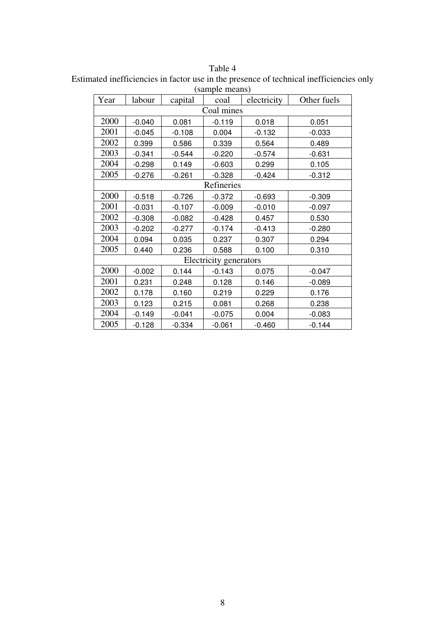Estimated inefficiencies in factor use in the presence of technical inefficiencies only (sample means)

| Year       | labour     | capital  | coal                   | electricity | Other fuels |  |  |  |
|------------|------------|----------|------------------------|-------------|-------------|--|--|--|
| Coal mines |            |          |                        |             |             |  |  |  |
| 2000       | $-0.040$   | 0.081    | $-0.119$               | 0.018       | 0.051       |  |  |  |
| 2001       | $-0.045$   | $-0.108$ | 0.004                  | $-0.132$    | $-0.033$    |  |  |  |
| 2002       | 0.399      | 0.586    | 0.339                  | 0.564       | 0.489       |  |  |  |
| 2003       | $-0.341$   | $-0.544$ | $-0.220$               | $-0.574$    | $-0.631$    |  |  |  |
| 2004       | $-0.298$   | 0.149    | $-0.603$               | 0.299       | 0.105       |  |  |  |
| 2005       | $-0.276$   | $-0.261$ | $-0.328$               | $-0.424$    | $-0.312$    |  |  |  |
|            | Refineries |          |                        |             |             |  |  |  |
| 2000       | $-0.518$   | $-0.726$ | $-0.372$               | $-0.693$    | $-0.309$    |  |  |  |
| 2001       | $-0.031$   | $-0.107$ | $-0.009$               | $-0.010$    | $-0.097$    |  |  |  |
| 2002       | $-0.308$   | $-0.082$ | $-0.428$               | 0.457       | 0.530       |  |  |  |
| 2003       | $-0.202$   | $-0.277$ | $-0.174$               | $-0.413$    | $-0.280$    |  |  |  |
| 2004       | 0.094      | 0.035    | 0.237                  | 0.307       | 0.294       |  |  |  |
| 2005       | 0.440      | 0.236    | 0.588                  | 0.100       | 0.310       |  |  |  |
|            |            |          | Electricity generators |             |             |  |  |  |
| 2000       | $-0.002$   | 0.144    | $-0.143$               | 0.075       | $-0.047$    |  |  |  |
| 2001       | 0.231      | 0.248    | 0.128                  | 0.146       | $-0.089$    |  |  |  |
| 2002       | 0.178      | 0.160    | 0.219                  | 0.229       | 0.176       |  |  |  |
| 2003       | 0.123      | 0.215    | 0.081                  | 0.268       | 0.238       |  |  |  |
| 2004       | $-0.149$   | $-0.041$ | $-0.075$               | 0.004       | $-0.083$    |  |  |  |
| 2005       | $-0.128$   | $-0.334$ | $-0.061$               | $-0.460$    | $-0.144$    |  |  |  |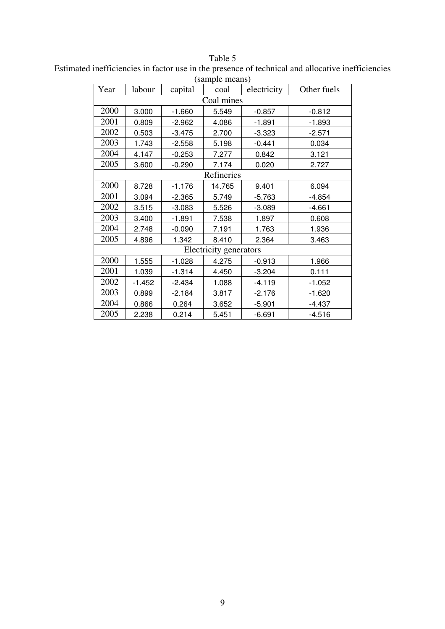|            | sample means) |          |                        |             |             |  |  |
|------------|---------------|----------|------------------------|-------------|-------------|--|--|
| Year       | labour        | capital  | coal                   | electricity | Other fuels |  |  |
| Coal mines |               |          |                        |             |             |  |  |
| 2000       | 3.000         | $-1.660$ | 5.549                  | $-0.857$    | $-0.812$    |  |  |
| 2001       | 0.809         | $-2.962$ | 4.086                  | $-1.891$    | $-1.893$    |  |  |
| 2002       | 0.503         | $-3.475$ | 2.700                  | $-3.323$    | $-2.571$    |  |  |
| 2003       | 1.743         | $-2.558$ | 5.198                  | $-0.441$    | 0.034       |  |  |
| 2004       | 4.147         | $-0.253$ | 7.277                  | 0.842       | 3.121       |  |  |
| 2005       | 3.600         | $-0.290$ | 7.174                  | 0.020       | 2.727       |  |  |
|            |               |          | Refineries             |             |             |  |  |
| 2000       | 8.728         | $-1.176$ | 14.765                 | 9.401       | 6.094       |  |  |
| 2001       | 3.094         | $-2.365$ | 5.749                  | $-5.763$    | $-4.854$    |  |  |
| 2002       | 3.515         | $-3.083$ | 5.526                  | $-3.089$    | $-4.661$    |  |  |
| 2003       | 3.400         | $-1.891$ | 7.538                  | 1.897       | 0.608       |  |  |
| 2004       | 2.748         | $-0.090$ | 7.191                  | 1.763       | 1.936       |  |  |
| 2005       | 4.896         | 1.342    | 8.410                  | 2.364       | 3.463       |  |  |
|            |               |          | Electricity generators |             |             |  |  |
| 2000       | 1.555         | $-1.028$ | 4.275                  | $-0.913$    | 1.966       |  |  |
| 2001       | 1.039         | $-1.314$ | 4.450                  | $-3.204$    | 0.111       |  |  |
| 2002       | $-1.452$      | $-2.434$ | 1.088                  | $-4.119$    | $-1.052$    |  |  |
| 2003       | 0.899         | $-2.184$ | 3.817                  | $-2.176$    | $-1.620$    |  |  |
| 2004       | 0.866         | 0.264    | 3.652                  | $-5.901$    | $-4.437$    |  |  |
| 2005       | 2.238         | 0.214    | 5.451                  | $-6.691$    | $-4.516$    |  |  |

Table 5 Estimated inefficiencies in factor use in the presence of technical and allocative inefficiencies (sample means)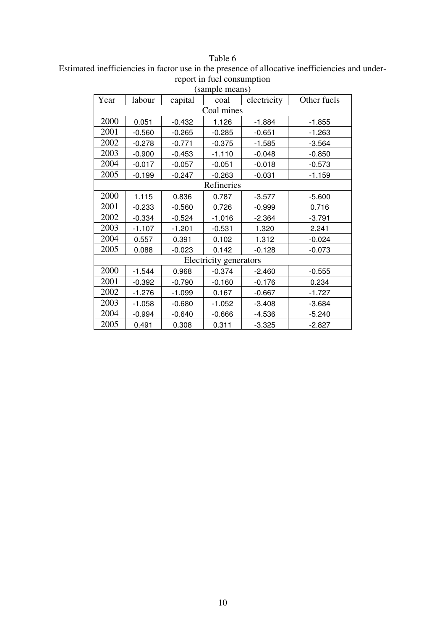Estimated inefficiencies in factor use in the presence of allocative inefficiencies and underreport in fuel consumption

|            | (sample means) |          |                        |             |             |  |  |
|------------|----------------|----------|------------------------|-------------|-------------|--|--|
| Year       | labour         | capital  | coal                   | electricity | Other fuels |  |  |
| Coal mines |                |          |                        |             |             |  |  |
| 2000       | 0.051          | $-0.432$ | 1.126                  | $-1.884$    | $-1.855$    |  |  |
| 2001       | $-0.560$       | $-0.265$ | $-0.285$               | $-0.651$    | $-1.263$    |  |  |
| 2002       | $-0.278$       | $-0.771$ | $-0.375$               | $-1.585$    | $-3.564$    |  |  |
| 2003       | $-0.900$       | $-0.453$ | $-1.110$               | $-0.048$    | $-0.850$    |  |  |
| 2004       | $-0.017$       | $-0.057$ | $-0.051$               | $-0.018$    | $-0.573$    |  |  |
| 2005       | $-0.199$       | $-0.247$ | $-0.263$               | $-0.031$    | $-1.159$    |  |  |
|            | Refineries     |          |                        |             |             |  |  |
| 2000       | 1.115          | 0.836    | 0.787                  | $-3.577$    | $-5.600$    |  |  |
| 2001       | $-0.233$       | $-0.560$ | 0.726                  | $-0.999$    | 0.716       |  |  |
| 2002       | $-0.334$       | $-0.524$ | $-1.016$               | $-2.364$    | $-3.791$    |  |  |
| 2003       | $-1.107$       | $-1.201$ | $-0.531$               | 1.320       | 2.241       |  |  |
| 2004       | 0.557          | 0.391    | 0.102                  | 1.312       | $-0.024$    |  |  |
| 2005       | 0.088          | $-0.023$ | 0.142                  | $-0.128$    | $-0.073$    |  |  |
|            |                |          | Electricity generators |             |             |  |  |
| 2000       | $-1.544$       | 0.968    | $-0.374$               | $-2.460$    | $-0.555$    |  |  |
| 2001       | $-0.392$       | $-0.790$ | $-0.160$               | $-0.176$    | 0.234       |  |  |
| 2002       | $-1.276$       | $-1.099$ | 0.167                  | $-0.667$    | $-1.727$    |  |  |
| 2003       | $-1.058$       | $-0.680$ | $-1.052$               | $-3.408$    | $-3.684$    |  |  |
| 2004       | $-0.994$       | $-0.640$ | $-0.666$               | $-4.536$    | $-5.240$    |  |  |
| 2005       | 0.491          | 0.308    | 0.311                  | $-3.325$    | $-2.827$    |  |  |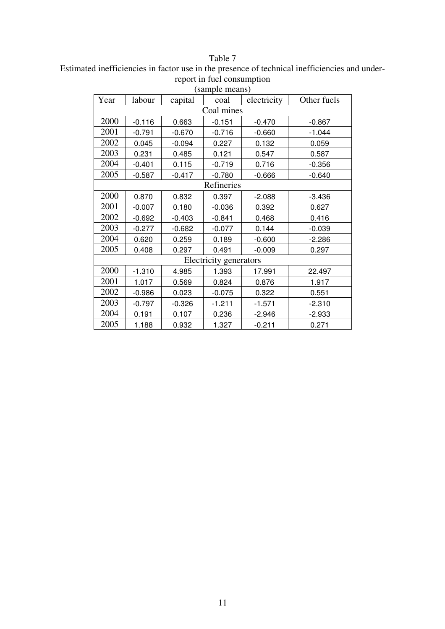Estimated inefficiencies in factor use in the presence of technical inefficiencies and underreport in fuel consumption

| (sample means) |          |          |                        |             |             |  |  |
|----------------|----------|----------|------------------------|-------------|-------------|--|--|
| Year           | labour   | capital  | coal                   | electricity | Other fuels |  |  |
| Coal mines     |          |          |                        |             |             |  |  |
| 2000           | $-0.116$ | 0.663    | $-0.151$               | $-0.470$    | $-0.867$    |  |  |
| 2001           | $-0.791$ | $-0.670$ | $-0.716$               | $-0.660$    | $-1.044$    |  |  |
| 2002           | 0.045    | $-0.094$ | 0.227                  | 0.132       | 0.059       |  |  |
| 2003           | 0.231    | 0.485    | 0.121                  | 0.547       | 0.587       |  |  |
| 2004           | $-0.401$ | 0.115    | $-0.719$               | 0.716       | $-0.356$    |  |  |
| 2005           | $-0.587$ | $-0.417$ | $-0.780$               | $-0.666$    | $-0.640$    |  |  |
| Refineries     |          |          |                        |             |             |  |  |
| 2000           | 0.870    | 0.832    | 0.397                  | $-2.088$    | $-3.436$    |  |  |
| 2001           | $-0.007$ | 0.180    | $-0.036$               | 0.392       | 0.627       |  |  |
| 2002           | $-0.692$ | $-0.403$ | $-0.841$               | 0.468       | 0.416       |  |  |
| 2003           | $-0.277$ | $-0.682$ | $-0.077$               | 0.144       | $-0.039$    |  |  |
| 2004           | 0.620    | 0.259    | 0.189                  | $-0.600$    | $-2.286$    |  |  |
| 2005           | 0.408    | 0.297    | 0.491                  | $-0.009$    | 0.297       |  |  |
|                |          |          | Electricity generators |             |             |  |  |
| 2000           | $-1.310$ | 4.985    | 1.393                  | 17.991      | 22.497      |  |  |
| 2001           | 1.017    | 0.569    | 0.824                  | 0.876       | 1.917       |  |  |
| 2002           | $-0.986$ | 0.023    | $-0.075$               | 0.322       | 0.551       |  |  |
| 2003           | $-0.797$ | $-0.326$ | $-1.211$               | $-1.571$    | $-2.310$    |  |  |
| 2004           | 0.191    | 0.107    | 0.236                  | $-2.946$    | $-2.933$    |  |  |
| 2005           | 1.188    | 0.932    | 1.327                  | $-0.211$    | 0.271       |  |  |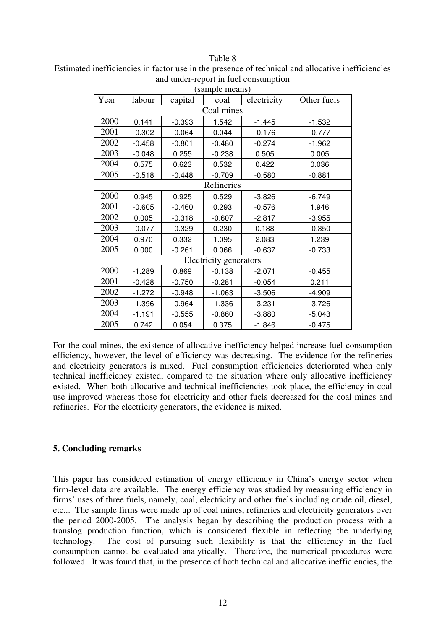Estimated inefficiencies in factor use in the presence of technical and allocative inefficiencies and under-report in fuel consumption

|      | (sample means) |          |                        |             |             |  |  |  |
|------|----------------|----------|------------------------|-------------|-------------|--|--|--|
| Year | labour         | capital  | coal                   | electricity | Other fuels |  |  |  |
|      | Coal mines     |          |                        |             |             |  |  |  |
| 2000 | 0.141          | $-0.393$ | 1.542                  | $-1.445$    | $-1.532$    |  |  |  |
| 2001 | $-0.302$       | $-0.064$ | 0.044                  | $-0.176$    | $-0.777$    |  |  |  |
| 2002 | $-0.458$       | $-0.801$ | $-0.480$               | $-0.274$    | $-1.962$    |  |  |  |
| 2003 | $-0.048$       | 0.255    | $-0.238$               | 0.505       | 0.005       |  |  |  |
| 2004 | 0.575          | 0.623    | 0.532                  | 0.422       | 0.036       |  |  |  |
| 2005 | $-0.518$       | $-0.448$ | $-0.709$               | $-0.580$    | $-0.881$    |  |  |  |
|      | Refineries     |          |                        |             |             |  |  |  |
| 2000 | 0.945          | 0.925    | 0.529                  | $-3.826$    | $-6.749$    |  |  |  |
| 2001 | $-0.605$       | $-0.460$ | 0.293                  | $-0.576$    | 1.946       |  |  |  |
| 2002 | 0.005          | $-0.318$ | $-0.607$               | $-2.817$    | $-3.955$    |  |  |  |
| 2003 | $-0.077$       | $-0.329$ | 0.230                  | 0.188       | $-0.350$    |  |  |  |
| 2004 | 0.970          | 0.332    | 1.095                  | 2.083       | 1.239       |  |  |  |
| 2005 | 0.000          | $-0.261$ | 0.066                  | $-0.637$    | $-0.733$    |  |  |  |
|      |                |          | Electricity generators |             |             |  |  |  |
| 2000 | $-1.289$       | 0.869    | $-0.138$               | $-2.071$    | $-0.455$    |  |  |  |
| 2001 | $-0.428$       | $-0.750$ | $-0.281$               | $-0.054$    | 0.211       |  |  |  |
| 2002 | $-1.272$       | $-0.948$ | $-1.063$               | $-3.506$    | $-4.909$    |  |  |  |
| 2003 | $-1.396$       | $-0.964$ | $-1.336$               | $-3.231$    | $-3.726$    |  |  |  |
| 2004 | $-1.191$       | $-0.555$ | $-0.860$               | $-3.880$    | $-5.043$    |  |  |  |
| 2005 | 0.742          | 0.054    | 0.375                  | $-1.846$    | $-0.475$    |  |  |  |

For the coal mines, the existence of allocative inefficiency helped increase fuel consumption efficiency, however, the level of efficiency was decreasing. The evidence for the refineries and electricity generators is mixed. Fuel consumption efficiencies deteriorated when only technical inefficiency existed, compared to the situation where only allocative inefficiency existed. When both allocative and technical inefficiencies took place, the efficiency in coal use improved whereas those for electricity and other fuels decreased for the coal mines and refineries. For the electricity generators, the evidence is mixed.

## **5. Concluding remarks**

This paper has considered estimation of energy efficiency in China's energy sector when firm-level data are available. The energy efficiency was studied by measuring efficiency in firms' uses of three fuels, namely, coal, electricity and other fuels including crude oil, diesel, etc... The sample firms were made up of coal mines, refineries and electricity generators over the period 2000-2005. The analysis began by describing the production process with a translog production function, which is considered flexible in reflecting the underlying technology. The cost of pursuing such flexibility is that the efficiency in the fuel consumption cannot be evaluated analytically. Therefore, the numerical procedures were followed. It was found that, in the presence of both technical and allocative inefficiencies, the